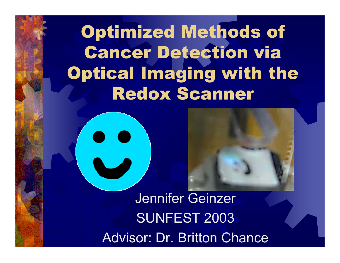Optimized Methods of Cancer Detection via Optical Imaging with the Redox Scanner



Jennifer Geinzer SUNFEST 2003 Advisor: Dr. Britton Chance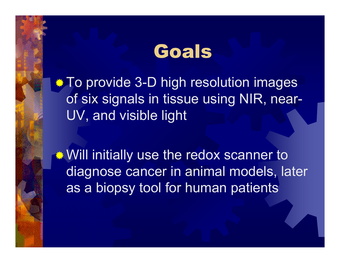### Goals

**To provide 3-D high resolution images** of six signals in tissue using NIR, near-UV, and visible light

**Will initially use the redox scanner to** diagnose cancer in animal models, later as a biopsy tool for human patients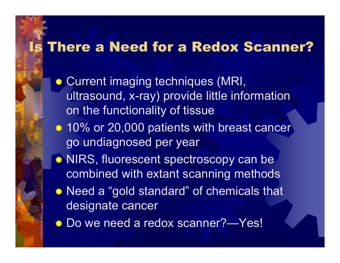#### Is There a Need for a Redox Scanner?

- **. Current imaging techniques (MRI,** ultrasound, x-ray) provide little information on the functionality of tissue
- **. 10% or 20,000 patients with breast cancer** go undiagnosed per year
- **★ NIRS, fluorescent spectroscopy can be** combined with extant scanning methods
- Need a "gold standard" of chemicals that designate cancer
- **Do we need a redox scanner?—Yes!**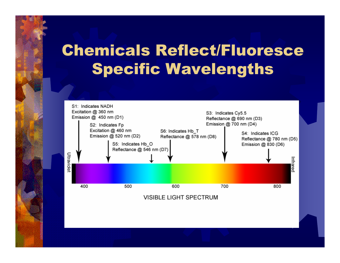### Chemicals Reflect/Fluoresce Specific Wavelengths



**VISIBLE LIGHT SPECTRUM**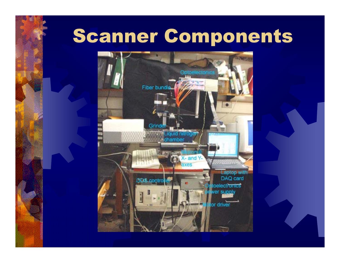## Scanner Components

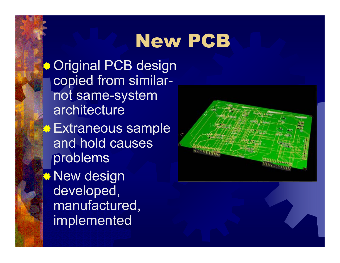# New PCB

**Original PCB design** copied from similarnot same-system architecture**Extraneous sample** and hold causes problems **<sup>●</sup> New design** developed, manufactured, implemented

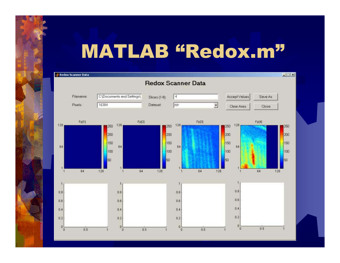## MATLAB "Redox.m"

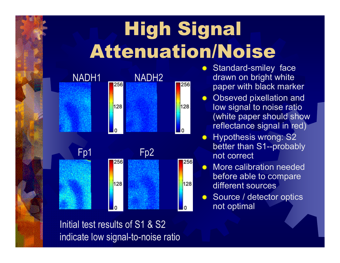# High Signal Attenuation/Noise



**Standard-smiley face** drawn on bright white paper with black marker

- ☀. Obseved pixellation and low signal to noise ratio (white paper should show reflectance signal in red)
- **☀ Hypothesis wrong: S2** better than S1--probably not correct
- **★ More calibration needed** before able to compare different sources
- Source / detector optics not optimal

Initial test results of S1 & S2 indicate low signal-to-noise ratio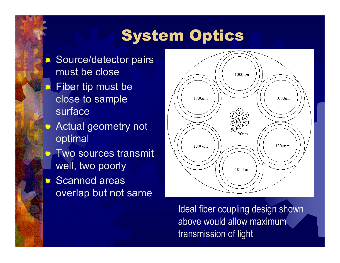### System Optics

- **Source/detector pairs** must be close
- **. Fiber tip must be** close to sample surface
- **<sup>●</sup> Actual geometry not** optimal
- **. Two sources transmit** well, two poorly
- *Scanned areas* overlap but not same



Ideal fiber coupling design shown above would allow maximum transmission of light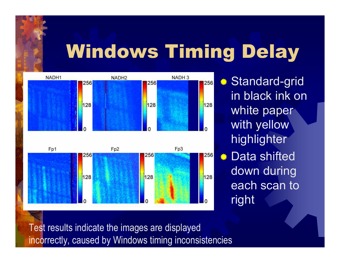# Windows Timing Delay



**. Standard-grid**\* in black ink on white paper with yellow highlighter **<del>●</del>** Data shifted down during each scan to right

Test results indicate the images are displayed incorrectly, caused by Windows timing inconsistencies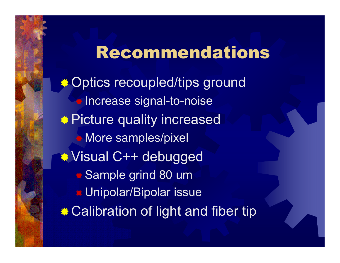#### Recommendations

**.\* Optics recoupled/tips ground Increase signal-to-noise \*\* Picture quality increased More samples/pixel** Visual C++ debugged ● Sample grind 80 um Unipolar/Bipolar issue **. Calibration of light and fiber tip**